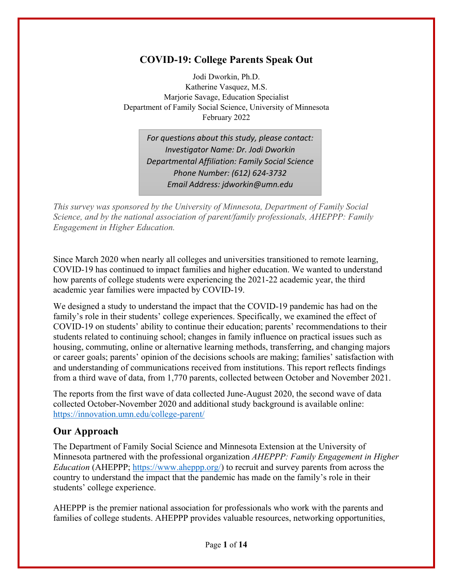## **COVID-19: College Parents Speak Out**

Jodi Dworkin, Ph.D. Katherine Vasquez, M.S. Marjorie Savage, Education Specialist Department of Family Social Science, University of Minnesota February 2022

> *For questions about this study, please contact: Investigator Name: Dr. Jodi Dworkin Departmental Affiliation: Family Social Science Phone Number: (612) 624‐3732 Email Address: jdworkin@umn.edu*

*This survey was sponsored by the University of Minnesota, Department of Family Social Science, and by the national association of parent/family professionals, AHEPPP: Family Engagement in Higher Education.*

Since March 2020 when nearly all colleges and universities transitioned to remote learning, COVID-19 has continued to impact families and higher education. We wanted to understand how parents of college students were experiencing the 2021-22 academic year, the third academic year families were impacted by COVID-19.

We designed a study to understand the impact that the COVID-19 pandemic has had on the family's role in their students' college experiences. Specifically, we examined the effect of COVID-19 on students' ability to continue their education; parents' recommendations to their students related to continuing school; changes in family influence on practical issues such as housing, commuting, online or alternative learning methods, transferring, and changing majors or career goals; parents' opinion of the decisions schools are making; families' satisfaction with and understanding of communications received from institutions. This report reflects findings from a third wave of data, from 1,770 parents, collected between October and November 2021.

The reports from the first wave of data collected June-August 2020, the second wave of data collected October-November 2020 and additional study background is available online: https://innovation.umn.edu/college-parent/

### **Our Approach**

The Department of Family Social Science and Minnesota Extension at the University of Minnesota partnered with the professional organization *AHEPPP: Family Engagement in Higher Education* (AHEPPP; https://www.aheppp.org/) to recruit and survey parents from across the country to understand the impact that the pandemic has made on the family's role in their students' college experience.

AHEPPP is the premier national association for professionals who work with the parents and families of college students. AHEPPP provides valuable resources, networking opportunities,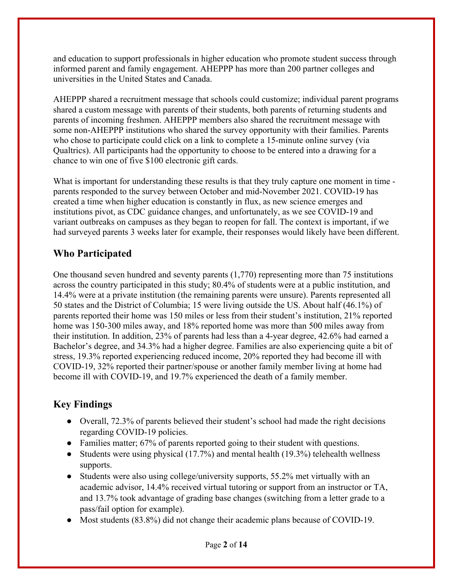and education to support professionals in higher education who promote student success through informed parent and family engagement. AHEPPP has more than 200 partner colleges and universities in the United States and Canada.

AHEPPP shared a recruitment message that schools could customize; individual parent programs shared a custom message with parents of their students, both parents of returning students and parents of incoming freshmen. AHEPPP members also shared the recruitment message with some non-AHEPPP institutions who shared the survey opportunity with their families. Parents who chose to participate could click on a link to complete a 15-minute online survey (via Qualtrics). All participants had the opportunity to choose to be entered into a drawing for a chance to win one of five \$100 electronic gift cards.

What is important for understanding these results is that they truly capture one moment in time parents responded to the survey between October and mid-November 2021. COVID-19 has created a time when higher education is constantly in flux, as new science emerges and institutions pivot, as CDC guidance changes, and unfortunately, as we see COVID-19 and variant outbreaks on campuses as they began to reopen for fall. The context is important, if we had surveyed parents 3 weeks later for example, their responses would likely have been different.

## **Who Participated**

One thousand seven hundred and seventy parents (1,770) representing more than 75 institutions across the country participated in this study; 80.4% of students were at a public institution, and 14.4% were at a private institution (the remaining parents were unsure). Parents represented all 50 states and the District of Columbia; 15 were living outside the US. About half (46.1%) of parents reported their home was 150 miles or less from their student's institution, 21% reported home was 150-300 miles away, and 18% reported home was more than 500 miles away from their institution. In addition, 23% of parents had less than a 4-year degree, 42.6% had earned a Bachelor's degree, and 34.3% had a higher degree. Families are also experiencing quite a bit of stress, 19.3% reported experiencing reduced income, 20% reported they had become ill with COVID-19, 32% reported their partner/spouse or another family member living at home had become ill with COVID-19, and 19.7% experienced the death of a family member.

# **Key Findings**

- Overall, 72.3% of parents believed their student's school had made the right decisions regarding COVID-19 policies.
- Families matter; 67% of parents reported going to their student with questions.
- Students were using physical (17.7%) and mental health (19.3%) telehealth wellness supports.
- Students were also using college/university supports, 55.2% met virtually with an academic advisor, 14.4% received virtual tutoring or support from an instructor or TA, and 13.7% took advantage of grading base changes (switching from a letter grade to a pass/fail option for example).
- Most students (83.8%) did not change their academic plans because of COVID-19.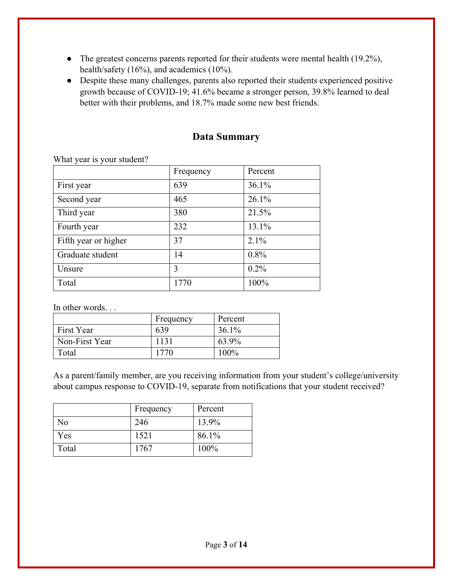- The greatest concerns parents reported for their students were mental health (19.2%), health/safety (16%), and academics (10%).
- Despite these many challenges, parents also reported their students experienced positive growth because of COVID-19; 41.6% became a stronger person, 39.8% learned to deal better with their problems, and 18.7% made some new best friends.

| $\ldots$ have $\zeta$ out to $\zeta$ out because $\ldots$ |           |         |  |
|-----------------------------------------------------------|-----------|---------|--|
|                                                           | Frequency | Percent |  |
| First year                                                | 639       | 36.1%   |  |
| Second year                                               | 465       | 26.1%   |  |
| Third year                                                | 380       | 21.5%   |  |
| Fourth year                                               | 232       | 13.1%   |  |
| Fifth year or higher                                      | 37        | 2.1%    |  |
| Graduate student                                          | 14        | 0.8%    |  |
| Unsure                                                    | 3         | $0.2\%$ |  |
| Total                                                     | 1770      | 100%    |  |

### **Data Summary**

What year is your student?

In other words. . .

|                | Frequency | Percent  |
|----------------|-----------|----------|
| First Year     | 639       | $36.1\%$ |
| Non-First Year | 1131      | 63.9%    |
| Total          | 1770      | $100\%$  |

As a parent/family member, are you receiving information from your student's college/university about campus response to COVID-19, separate from notifications that your student received?

|       | Frequency | Percent |
|-------|-----------|---------|
| No    | 246       | 13.9%   |
| Yes   | 1521      | 86.1%   |
| Total | 1767      | 100%    |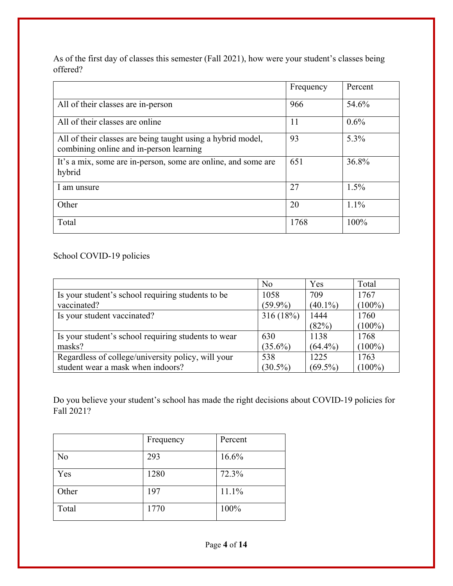As of the first day of classes this semester (Fall 2021), how were your student's classes being offered?

|                                                                                                        | Frequency | Percent |
|--------------------------------------------------------------------------------------------------------|-----------|---------|
| All of their classes are in-person                                                                     | 966       | 54.6%   |
| All of their classes are online                                                                        | 11        | $0.6\%$ |
| All of their classes are being taught using a hybrid model,<br>combining online and in-person learning | 93        | 5.3%    |
| It's a mix, some are in-person, some are online, and some are<br>hybrid                                | 651       | 36.8%   |
| 1 am unsure                                                                                            | 27        | 1.5%    |
| Other                                                                                                  | 20        | $1.1\%$ |
| Total                                                                                                  | 1768      | 100%    |

#### School COVID-19 policies

|                                                     | No         | Yes        | Total     |
|-----------------------------------------------------|------------|------------|-----------|
| Is your student's school requiring students to be   | 1058       | 709        | 1767      |
| vaccinated?                                         | $(59.9\%)$ | $(40.1\%)$ | $(100\%)$ |
| Is your student vaccinated?                         | 316(18%)   | 1444       | 1760      |
|                                                     |            | (82%)      | $(100\%)$ |
| Is your student's school requiring students to wear | 630        | 1138       | 1768      |
| masks?                                              | $(35.6\%)$ | $(64.4\%)$ | $(100\%)$ |
| Regardless of college/university policy, will your  | 538        | 1225       | 1763      |
| student wear a mask when indoors?                   | $(30.5\%)$ | $(69.5\%)$ | $(100\%)$ |

Do you believe your student's school has made the right decisions about COVID-19 policies for Fall 2021?

|       | Frequency | Percent |
|-------|-----------|---------|
| No    | 293       | 16.6%   |
| Yes   | 1280      | 72.3%   |
| Other | 197       | 11.1%   |
| Total | 1770      | 100%    |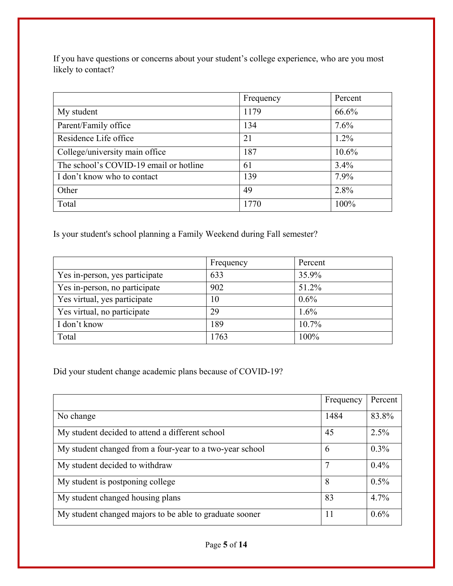If you have questions or concerns about your student's college experience, who are you most likely to contact?

|                                        | Frequency | Percent  |
|----------------------------------------|-----------|----------|
| My student                             | 1179      | 66.6%    |
| Parent/Family office                   | 134       | 7.6%     |
| Residence Life office                  | 21        | $1.2\%$  |
| College/university main office         | 187       | $10.6\%$ |
| The school's COVID-19 email or hotline | 61        | 3.4%     |
| I don't know who to contact            | 139       | 7.9%     |
| Other                                  | 49        | 2.8%     |
| Total                                  | 1770      | 100%     |

Is your student's school planning a Family Weekend during Fall semester?

|                                | Frequency | Percent  |
|--------------------------------|-----------|----------|
| Yes in-person, yes participate | 633       | 35.9%    |
| Yes in-person, no participate  | 902       | 51.2%    |
| Yes virtual, yes participate   | 10        | $0.6\%$  |
| Yes virtual, no participate    | 29        | 1.6%     |
| I don't know                   | 189       | $10.7\%$ |
| Total                          | 1763      | 100%     |

Did your student change academic plans because of COVID-19?

|                                                          | Frequency | Percent |
|----------------------------------------------------------|-----------|---------|
| No change                                                | 1484      | 83.8%   |
| My student decided to attend a different school          | 45        | 2.5%    |
| My student changed from a four-year to a two-year school | 6         | $0.3\%$ |
| My student decided to withdraw                           |           | $0.4\%$ |
| My student is postponing college                         | 8         | $0.5\%$ |
| My student changed housing plans                         | 83        | 4.7%    |
| My student changed majors to be able to graduate sooner  | 11        | 0.6%    |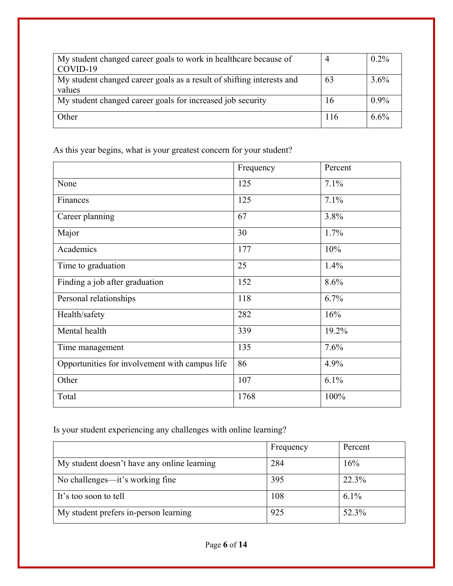| My student changed career goals to work in healthcare because of<br>COVID-19    |     | $0.2\%$ |
|---------------------------------------------------------------------------------|-----|---------|
| My student changed career goals as a result of shifting interests and<br>values | 63  | $3.6\%$ |
| My student changed career goals for increased job security                      | 16  | $0.9\%$ |
| Other                                                                           | 116 | 6.6%    |

As this year begins, what is your greatest concern for your student?

|                                                | Frequency | Percent |
|------------------------------------------------|-----------|---------|
| None                                           | 125       | 7.1%    |
| Finances                                       | 125       | 7.1%    |
| Career planning                                | 67        | 3.8%    |
| Major                                          | 30        | 1.7%    |
| Academics                                      | 177       | 10%     |
| Time to graduation                             | 25        | 1.4%    |
| Finding a job after graduation                 | 152       | 8.6%    |
| Personal relationships                         | 118       | 6.7%    |
| Health/safety                                  | 282       | 16%     |
| Mental health                                  | 339       | 19.2%   |
| Time management                                | 135       | 7.6%    |
| Opportunities for involvement with campus life | 86        | 4.9%    |
| Other                                          | 107       | 6.1%    |
| Total                                          | 1768      | 100%    |

Is your student experiencing any challenges with online learning?

|                                             | Frequency | Percent |
|---------------------------------------------|-----------|---------|
| My student doesn't have any online learning | 284       | 16%     |
| No challenges—it's working fine             | 395       | 22.3%   |
| It's too soon to tell                       | 108       | $6.1\%$ |
| My student prefers in-person learning       | 925       | 52.3%   |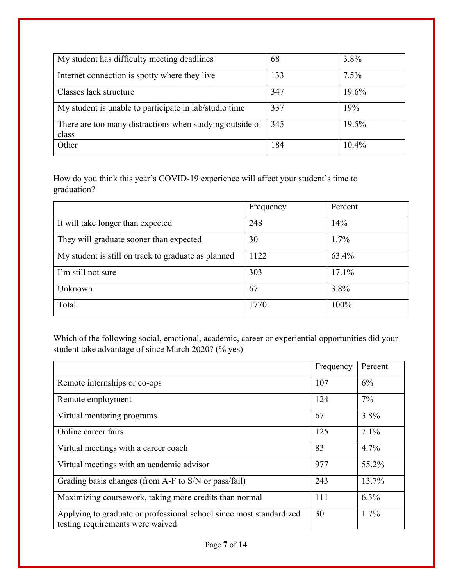| My student has difficulty meeting deadlines                       | 68  | 3.8%  |
|-------------------------------------------------------------------|-----|-------|
| Internet connection is spotty where they live                     | 133 | 7.5%  |
| Classes lack structure                                            | 347 | 19.6% |
| My student is unable to participate in lab/studio time            | 337 | 19%   |
| There are too many distractions when studying outside of<br>class | 345 | 19.5% |
| Other                                                             | 184 | 10.4% |

How do you think this year's COVID-19 experience will affect your student's time to graduation?

|                                                     | Frequency | Percent |
|-----------------------------------------------------|-----------|---------|
| It will take longer than expected                   | 248       | 14%     |
| They will graduate sooner than expected             | 30        | $1.7\%$ |
| My student is still on track to graduate as planned | 1122      | 63.4%   |
| I'm still not sure                                  | 303       | 17.1%   |
| Unknown                                             | 67        | 3.8%    |
| Total                                               | 1770      | 100%    |

Which of the following social, emotional, academic, career or experiential opportunities did your student take advantage of since March 2020? (% yes)

|                                                                                                         | Frequency | Percent |
|---------------------------------------------------------------------------------------------------------|-----------|---------|
| Remote internships or co-ops                                                                            | 107       | 6%      |
| Remote employment                                                                                       | 124       | $7\%$   |
| Virtual mentoring programs                                                                              | 67        | 3.8%    |
| Online career fairs                                                                                     | 125       | $7.1\%$ |
| Virtual meetings with a career coach                                                                    | 83        | 4.7%    |
| Virtual meetings with an academic advisor                                                               | 977       | 55.2%   |
| Grading basis changes (from A-F to S/N or pass/fail)                                                    | 243       | 13.7%   |
| Maximizing coursework, taking more credits than normal                                                  | 111       | $6.3\%$ |
| Applying to graduate or professional school since most standardized<br>testing requirements were waived | 30        | $1.7\%$ |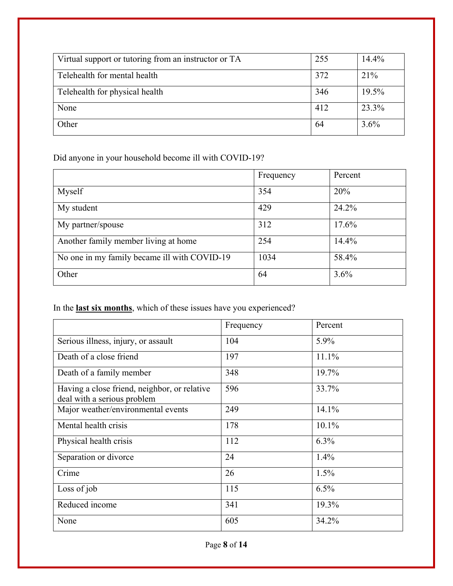| Virtual support or tutoring from an instructor or TA | 255 | 14.4%   |
|------------------------------------------------------|-----|---------|
| Telehealth for mental health                         | 372 | 21%     |
| Telehealth for physical health                       | 346 | 19.5%   |
| None                                                 | 412 | 23.3%   |
| Other                                                | 64  | $3.6\%$ |

Did anyone in your household become ill with COVID-19?

|                                              | Frequency | Percent |
|----------------------------------------------|-----------|---------|
| Myself                                       | 354       | 20%     |
| My student                                   | 429       | 24.2%   |
| My partner/spouse                            | 312       | 17.6%   |
| Another family member living at home         | 254       | 14.4%   |
| No one in my family became ill with COVID-19 | 1034      | 58.4%   |
| Other                                        | 64        | 3.6%    |

In the **last six months**, which of these issues have you experienced?

|                                                                             | Frequency | Percent  |
|-----------------------------------------------------------------------------|-----------|----------|
| Serious illness, injury, or assault                                         | 104       | 5.9%     |
| Death of a close friend                                                     | 197       | 11.1%    |
| Death of a family member                                                    | 348       | 19.7%    |
| Having a close friend, neighbor, or relative<br>deal with a serious problem | 596       | 33.7%    |
| Major weather/environmental events                                          | 249       | 14.1%    |
| Mental health crisis                                                        | 178       | $10.1\%$ |
| Physical health crisis                                                      | 112       | $6.3\%$  |
| Separation or divorce                                                       | 24        | 1.4%     |
| Crime                                                                       | 26        | $1.5\%$  |
| Loss of job                                                                 | 115       | 6.5%     |
| Reduced income                                                              | 341       | 19.3%    |
| None                                                                        | 605       | 34.2%    |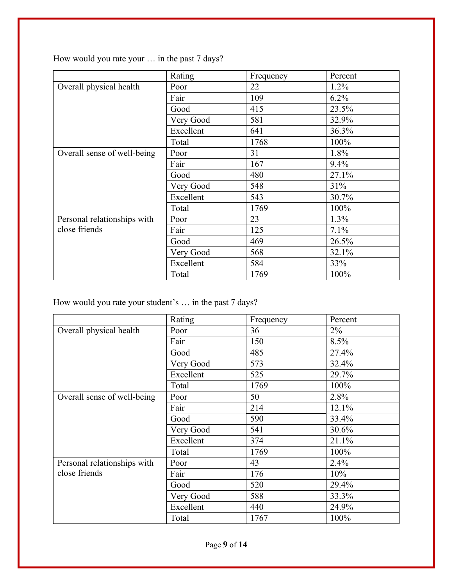How would you rate your … in the past 7 days?

|                             | Rating    | Frequency | Percent |
|-----------------------------|-----------|-----------|---------|
| Overall physical health     | Poor      | 22        | $1.2\%$ |
|                             | Fair      | 109       | 6.2%    |
|                             | Good      | 415       | 23.5%   |
|                             | Very Good | 581       | 32.9%   |
|                             | Excellent | 641       | 36.3%   |
|                             | Total     | 1768      | 100%    |
| Overall sense of well-being | Poor      | 31        | 1.8%    |
|                             | Fair      | 167       | 9.4%    |
|                             | Good      | 480       | 27.1%   |
|                             | Very Good | 548       | 31%     |
|                             | Excellent | 543       | 30.7%   |
|                             | Total     | 1769      | 100%    |
| Personal relationships with | Poor      | 23        | 1.3%    |
| close friends               | Fair      | 125       | 7.1%    |
|                             | Good      | 469       | 26.5%   |
|                             | Very Good | 568       | 32.1%   |
|                             | Excellent | 584       | 33%     |
|                             | Total     | 1769      | 100%    |

How would you rate your student's … in the past 7 days?

|                             | Rating    | Frequency | Percent |
|-----------------------------|-----------|-----------|---------|
| Overall physical health     | Poor      | 36        | $2\%$   |
|                             |           |           |         |
|                             | Fair      | 150       | 8.5%    |
|                             | Good      | 485       | 27.4%   |
|                             | Very Good | 573       | 32.4%   |
|                             | Excellent | 525       | 29.7%   |
|                             | Total     | 1769      | 100%    |
| Overall sense of well-being | Poor      | 50        | 2.8%    |
|                             | Fair      | 214       | 12.1%   |
|                             | Good      | 590       | 33.4%   |
|                             | Very Good | 541       | 30.6%   |
|                             | Excellent | 374       | 21.1%   |
|                             | Total     | 1769      | 100%    |
| Personal relationships with | Poor      | 43        | 2.4%    |
| close friends               | Fair      | 176       | 10%     |
|                             | Good      | 520       | 29.4%   |
|                             | Very Good | 588       | 33.3%   |
|                             | Excellent | 440       | 24.9%   |
|                             | Total     | 1767      | 100%    |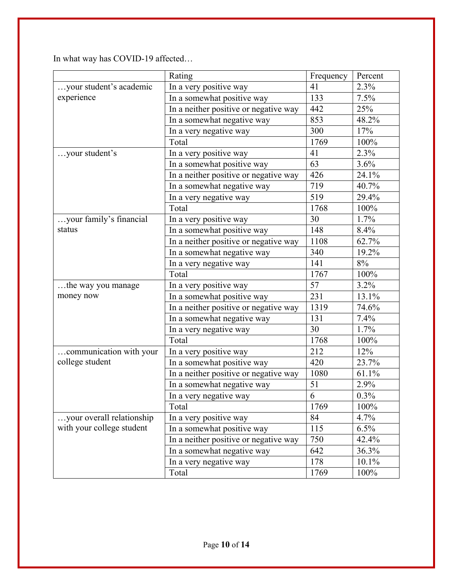In what way has COVID-19 affected…

|                           | Rating                                              | Frequency      | Percent     |
|---------------------------|-----------------------------------------------------|----------------|-------------|
| your student's academic   | In a very positive way                              | 41             | 2.3%        |
| experience                | In a somewhat positive way                          | 133            | 7.5%        |
|                           | In a neither positive or negative way               | 442            | 25%         |
|                           | In a somewhat negative way                          | 853            | 48.2%       |
|                           | In a very negative way                              | 300            | 17%         |
|                           | Total                                               | 1769           | 100%        |
| your student's            | In a very positive way                              | 41             | 2.3%        |
|                           | In a somewhat positive way                          | 63             | 3.6%        |
|                           | $\overline{\ln}$ a neither positive or negative way | 426            | 24.1%       |
|                           | In a somewhat negative way                          | 719            | 40.7%       |
|                           | In a very negative way                              | 519            | 29.4%       |
|                           | Total                                               | 1768           | 100%        |
| your family's financial   | In a very positive way                              | 30             | 1.7%        |
| status                    | In a somewhat positive way                          | 148            | 8.4%        |
|                           | In a neither positive or negative way               | 1108           | 62.7%       |
|                           | In a somewhat negative way                          | 340            | 19.2%       |
|                           | In a very negative way                              | 141            | $8\sqrt{0}$ |
|                           | Total                                               | 1767           | 100%        |
| the way you manage        | In a very positive way                              | 57             | 3.2%        |
| money now                 | In a somewhat positive way                          | 231            | 13.1%       |
|                           | In a neither positive or negative way               | 1319           | 74.6%       |
|                           | In a somewhat negative way                          | 131            | 7.4%        |
|                           | In a very negative way                              | 30             | 1.7%        |
|                           | Total                                               | 1768           | 100%        |
| communication with your   | In a very positive way                              | 212            | 12%         |
| college student           | In a somewhat positive way                          | 420            | 23.7%       |
|                           | In a neither positive or negative way               | 1080           | 61.1%       |
|                           | In a somewhat negative way                          | 51             | 2.9%        |
|                           | In a very negative way                              | $\overline{6}$ | 0.3%        |
|                           | Total                                               | 1769           | 100%        |
| your overall relationship | In a very positive way                              | 84             | 4.7%        |
| with your college student | In a somewhat positive way                          | 115            | $6.5\%$     |
|                           | In a neither positive or negative way               | 750            | 42.4%       |
|                           | In a somewhat negative way                          | 642            | 36.3%       |
|                           | In a very negative way                              | 178            | 10.1%       |
|                           | Total                                               | 1769           | 100%        |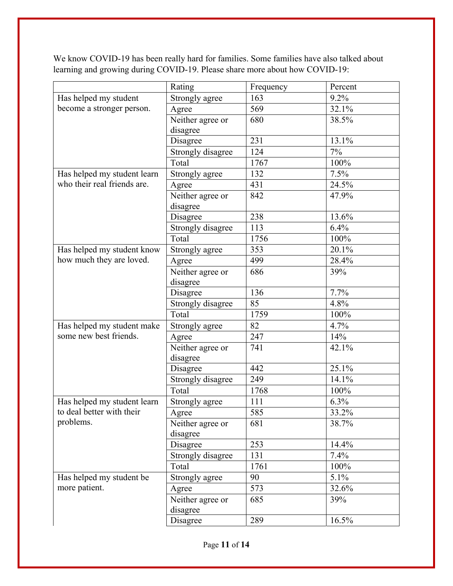|                             | Rating            | Frequency | Percent |
|-----------------------------|-------------------|-----------|---------|
| Has helped my student       | Strongly agree    | 163       | 9.2%    |
| become a stronger person.   | Agree             | 569       | 32.1%   |
|                             | Neither agree or  | 680       | 38.5%   |
|                             | disagree          |           |         |
|                             | Disagree          | 231       | 13.1%   |
|                             | Strongly disagree | 124       | 7%      |
|                             | Total             | 1767      | 100%    |
| Has helped my student learn | Strongly agree    | 132       | 7.5%    |
| who their real friends are. | Agree             | 431       | 24.5%   |
|                             | Neither agree or  | 842       | 47.9%   |
|                             | disagree          |           |         |
|                             | Disagree          | 238       | 13.6%   |
|                             | Strongly disagree | 113       | 6.4%    |
|                             | Total             | 1756      | 100%    |
| Has helped my student know  | Strongly agree    | 353       | 20.1%   |
| how much they are loved.    | Agree             | 499       | 28.4%   |
|                             | Neither agree or  | 686       | 39%     |
|                             | disagree          |           |         |
|                             | Disagree          | 136       | 7.7%    |
|                             | Strongly disagree | 85        | 4.8%    |
|                             | Total             | 1759      | 100%    |
| Has helped my student make  | Strongly agree    | 82        | 4.7%    |
| some new best friends.      | Agree             | 247       | 14%     |
|                             | Neither agree or  | 741       | 42.1%   |
|                             | disagree          |           |         |
|                             | Disagree          | 442       | 25.1%   |
|                             | Strongly disagree | 249       | 14.1%   |
|                             | Total             | 1768      | 100%    |
| Has helped my student learn | Strongly agree    | 111       | 6.3%    |
| to deal better with their   | Agree             | 585       | 33.2%   |
| problems.                   | Neither agree or  | 681       | 38.7%   |
|                             | disagree          |           |         |
|                             | Disagree          | 253       | 14.4%   |
|                             | Strongly disagree | 131       | 7.4%    |
|                             | Total             | 1761      | 100%    |
| Has helped my student be    | Strongly agree    | 90        | 5.1%    |
| more patient.               | Agree             | 573       | 32.6%   |
|                             | Neither agree or  | 685       | 39%     |
|                             | disagree          |           |         |
|                             | Disagree          | 289       | 16.5%   |

We know COVID-19 has been really hard for families. Some families have also talked about learning and growing during COVID-19. Please share more about how COVID-19: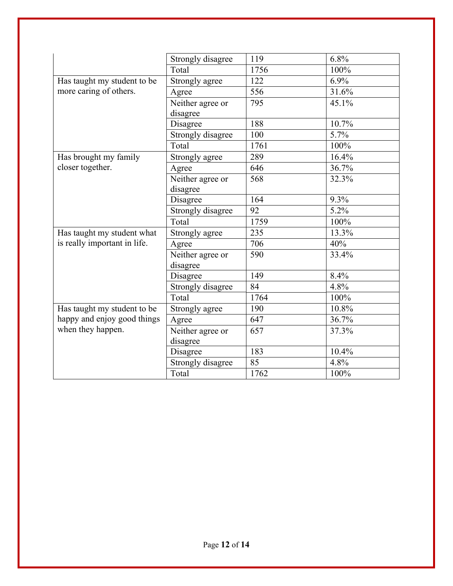|                              | Strongly disagree | 119  | 6.8%  |
|------------------------------|-------------------|------|-------|
|                              | Total             | 1756 | 100%  |
| Has taught my student to be  | Strongly agree    | 122  | 6.9%  |
| more caring of others.       | Agree             | 556  | 31.6% |
|                              | Neither agree or  | 795  | 45.1% |
|                              | disagree          |      |       |
|                              | Disagree          | 188  | 10.7% |
|                              | Strongly disagree | 100  | 5.7%  |
|                              | Total             | 1761 | 100%  |
| Has brought my family        | Strongly agree    | 289  | 16.4% |
| closer together.             | Agree             | 646  | 36.7% |
|                              | Neither agree or  | 568  | 32.3% |
|                              | disagree          |      |       |
|                              | Disagree          | 164  | 9.3%  |
|                              | Strongly disagree | 92   | 5.2%  |
|                              | Total             | 1759 | 100%  |
| Has taught my student what   | Strongly agree    | 235  | 13.3% |
| is really important in life. | Agree             | 706  | 40%   |
|                              | Neither agree or  | 590  | 33.4% |
|                              | disagree          |      |       |
|                              | Disagree          | 149  | 8.4%  |
|                              | Strongly disagree | 84   | 4.8%  |
|                              | Total             | 1764 | 100%  |
| Has taught my student to be  | Strongly agree    | 190  | 10.8% |
| happy and enjoy good things  | Agree             | 647  | 36.7% |
| when they happen.            | Neither agree or  | 657  | 37.3% |
|                              | disagree          |      |       |
|                              | Disagree          | 183  | 10.4% |
|                              | Strongly disagree | 85   | 4.8%  |
|                              | Total             | 1762 | 100%  |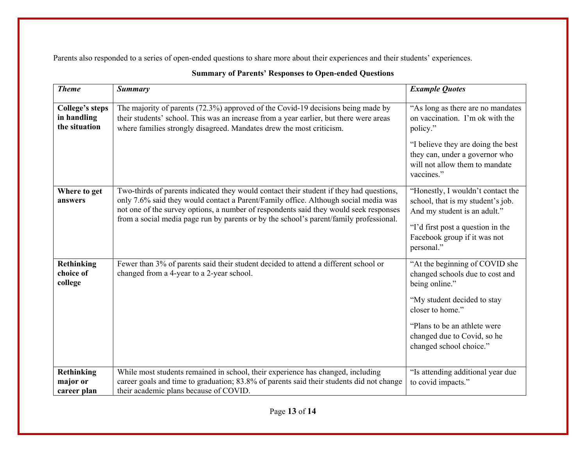Parents also responded to a series of open-ended questions to share more about their experiences and their students' experiences.

| <b>Theme</b>                                           | <b>Summary</b>                                                                                                                                                                                                                                                                                                                                                    | <b>Example Quotes</b>                                                                                                                                                                                                             |
|--------------------------------------------------------|-------------------------------------------------------------------------------------------------------------------------------------------------------------------------------------------------------------------------------------------------------------------------------------------------------------------------------------------------------------------|-----------------------------------------------------------------------------------------------------------------------------------------------------------------------------------------------------------------------------------|
| <b>College's steps</b><br>in handling<br>the situation | The majority of parents (72.3%) approved of the Covid-19 decisions being made by<br>their students' school. This was an increase from a year earlier, but there were areas<br>where families strongly disagreed. Mandates drew the most criticism.                                                                                                                | "As long as there are no mandates<br>on vaccination. I'm ok with the<br>policy."<br>"I believe they are doing the best<br>they can, under a governor who<br>will not allow them to mandate<br>vaccines."                          |
| Where to get<br>answers                                | Two-thirds of parents indicated they would contact their student if they had questions,<br>only 7.6% said they would contact a Parent/Family office. Although social media was<br>not one of the survey options, a number of respondents said they would seek responses<br>from a social media page run by parents or by the school's parent/family professional. | "Honestly, I wouldn't contact the<br>school, that is my student's job.<br>And my student is an adult."<br>"I'd first post a question in the<br>Facebook group if it was not<br>personal."                                         |
| Rethinking<br>choice of<br>college                     | Fewer than 3% of parents said their student decided to attend a different school or<br>changed from a 4-year to a 2-year school.                                                                                                                                                                                                                                  | "At the beginning of COVID she<br>changed schools due to cost and<br>being online."<br>"My student decided to stay<br>closer to home."<br>"Plans to be an athlete were"<br>changed due to Covid, so he<br>changed school choice." |
| <b>Rethinking</b><br>major or<br>career plan           | While most students remained in school, their experience has changed, including<br>career goals and time to graduation; 83.8% of parents said their students did not change<br>their academic plans because of COVID.                                                                                                                                             | "Is attending additional year due<br>to covid impacts."                                                                                                                                                                           |

#### **Summary of Parents' Responses to Open-ended Questions**